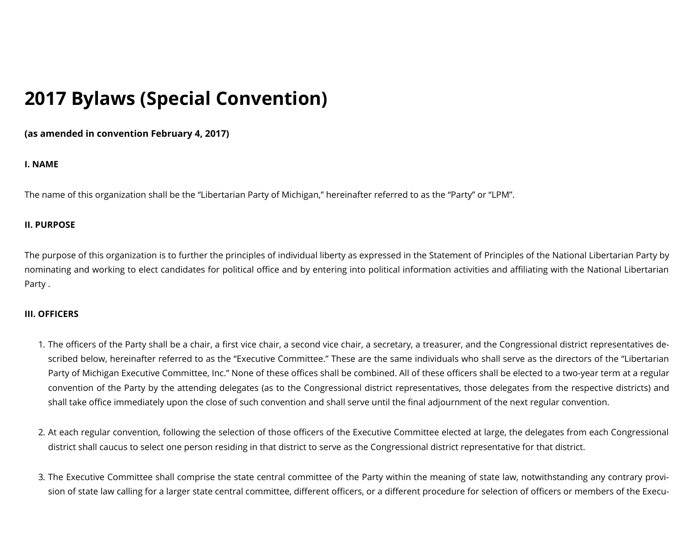# **2017 Bylaws (Special Convention)**

**(as amended in convention February 4, 2017)**

## **I. NAME**

The name of this organization shall be the "Libertarian Party of Michigan," hereinafter referred to as the "Party" or "LPM".

## **II. PURPOSE**

The purpose of this organization is to further the principles of individual liberty as expressed in the Statement of Principles of the National Libertarian Party by nominating and working to elect candidates for political office and by entering into political information activities and affiliating with the National Libertarian Party .

## **III. OFFICERS**

- 1. The officers of the Party shall be a chair, a first vice chair, a second vice chair, a secretary, a treasurer, and the Congressional district representatives described below, hereinafter referred to as the "Executive Committee." These are the same individuals who shall serve as the directors of the "Libertarian Party of Michigan Executive Committee, Inc." None of these offices shall be combined. All of these officers shall be elected to a two-year term at a regular convention of the Party by the attending delegates (as to the Congressional district representatives, those delegates from the respective districts) and shall take office immediately upon the close of such convention and shall serve until the final adjournment of the next regular convention.
- 2. At each regular convention, following the selection of those officers of the Executive Committee elected at large, the delegates from each Congressional district shall caucus to select one person residing in that district to serve as the Congressional district representative for that district.
- 3. The Executive Committee shall comprise the state central committee of the Party within the meaning of state law, notwithstanding any contrary provision of state law calling for a larger state central committee, different officers, or a different procedure for selection of officers or members of the Execu-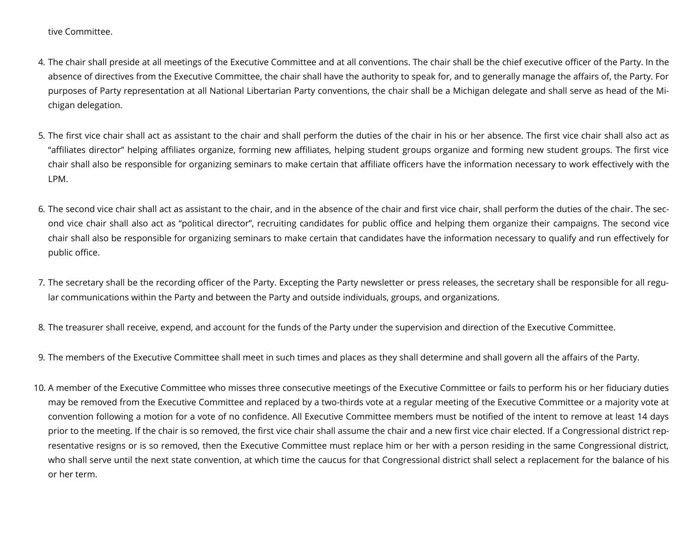tive Committee.

- 4. The chair shall preside at all meetings of the Executive Committee and at all conventions. The chair shall be the chief executive officer of the Party. In the absence of directives from the Executive Committee, the chair shall have the authority to speak for, and to generally manage the affairs of, the Party. For purposes of Party representation at all National Libertarian Party conventions, the chair shall be a Michigan delegate and shall serve as head of the Michigan delegation.
- 5. The first vice chair shall act as assistant to the chair and shall perform the duties of the chair in his or her absence. The first vice chair shall also act as "affiliates director" helping affiliates organize, forming new affiliates, helping student groups organize and forming new student groups. The first vice chair shall also be responsible for organizing seminars to make certain that affiliate officers have the information necessary to work effectively with the LPM.
- 6. The second vice chair shall act as assistant to the chair, and in the absence of the chair and first vice chair, shall perform the duties of the chair. The second vice chair shall also act as "political director", recruiting candidates for public office and helping them organize their campaigns. The second vice chair shall also be responsible for organizing seminars to make certain that candidates have the information necessary to qualify and run effectively for public office.
- 7. The secretary shall be the recording officer of the Party. Excepting the Party newsletter or press releases, the secretary shall be responsible for all regular communications within the Party and between the Party and outside individuals, groups, and organizations.
- 8. The treasurer shall receive, expend, and account for the funds of the Party under the supervision and direction of the Executive Committee.
- 9. The members of the Executive Committee shall meet in such times and places as they shall determine and shall govern all the affairs of the Party.
- 10. A member of the Executive Committee who misses three consecutive meetings of the Executive Committee or fails to perform his or her fiduciary duties may be removed from the Executive Committee and replaced by a two-thirds vote at a regular meeting of the Executive Committee or a majority vote at convention following a motion for a vote of no confidence. All Executive Committee members must be notified of the intent to remove at least 14 days prior to the meeting. If the chair is so removed, the first vice chair shall assume the chair and a new first vice chair elected. If a Congressional district representative resigns or is so removed, then the Executive Committee must replace him or her with a person residing in the same Congressional district, who shall serve until the next state convention, at which time the caucus for that Congressional district shall select a replacement for the balance of his or her term.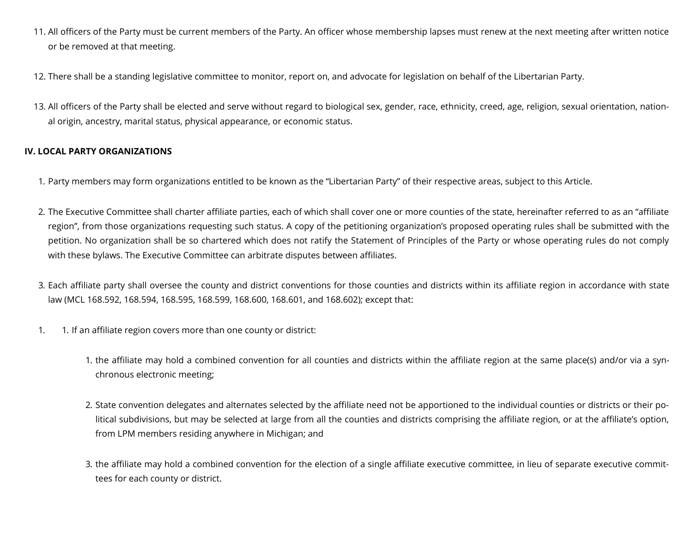- 11. All officers of the Party must be current members of the Party. An officer whose membership lapses must renew at the next meeting after written notice or be removed at that meeting.
- 12. There shall be a standing legislative committee to monitor, report on, and advocate for legislation on behalf of the Libertarian Party.
- 13. All officers of the Party shall be elected and serve without regard to biological sex, gender, race, ethnicity, creed, age, religion, sexual orientation, national origin, ancestry, marital status, physical appearance, or economic status.

## **IV. LOCAL PARTY ORGANIZATIONS**

- 1. Party members may form organizations entitled to be known as the "Libertarian Party" of their respective areas, subject to this Article.
- 2. The Executive Committee shall charter affiliate parties, each of which shall cover one or more counties of the state, hereinafter referred to as an "affiliate region", from those organizations requesting such status. A copy of the petitioning organization's proposed operating rules shall be submitted with the petition. No organization shall be so chartered which does not ratify the Statement of Principles of the Party or whose operating rules do not comply with these bylaws. The Executive Committee can arbitrate disputes between affiliates.
- 3. Each affiliate party shall oversee the county and district conventions for those counties and districts within its affiliate region in accordance with state law (MCL 168.592, 168.594, 168.595, 168.599, 168.600, 168.601, and 168.602); except that:
- 1. 1. If an affiliate region covers more than one county or district:
	- 1. the affiliate may hold a combined convention for all counties and districts within the affiliate region at the same place(s) and/or via a synchronous electronic meeting;
	- 2. State convention delegates and alternates selected by the affiliate need not be apportioned to the individual counties or districts or their political subdivisions, but may be selected at large from all the counties and districts comprising the affiliate region, or at the affiliate's option, from LPM members residing anywhere in Michigan; and
	- 3. the affiliate may hold a combined convention for the election of a single affiliate executive committee, in lieu of separate executive committees for each county or district.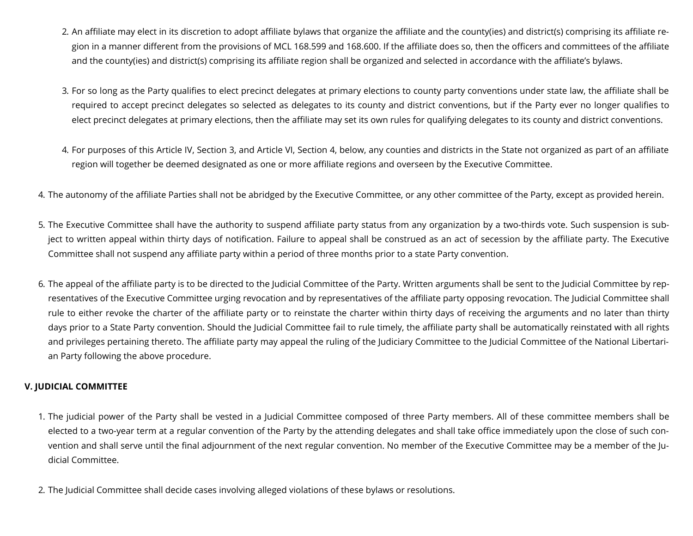- 2. An affiliate may elect in its discretion to adopt affiliate bylaws that organize the affiliate and the county(ies) and district(s) comprising its affiliate region in a manner different from the provisions of MCL 168.599 and 168.600. If the affiliate does so, then the officers and committees of the affiliate and the county(ies) and district(s) comprising its affiliate region shall be organized and selected in accordance with the affiliate's bylaws.
- 3. For so long as the Party qualifies to elect precinct delegates at primary elections to county party conventions under state law, the affiliate shall be required to accept precinct delegates so selected as delegates to its county and district conventions, but if the Party ever no longer qualifies to elect precinct delegates at primary elections, then the affiliate may set its own rules for qualifying delegates to its county and district conventions.
- 4. For purposes of this Article IV, Section 3, and Article VI, Section 4, below, any counties and districts in the State not organized as part of an affiliate region will together be deemed designated as one or more affiliate regions and overseen by the Executive Committee.
- 4. The autonomy of the affiliate Parties shall not be abridged by the Executive Committee, or any other committee of the Party, except as provided herein.
- 5. The Executive Committee shall have the authority to suspend affiliate party status from any organization by a two-thirds vote. Such suspension is subject to written appeal within thirty days of notification. Failure to appeal shall be construed as an act of secession by the affiliate party. The Executive Committee shall not suspend any affiliate party within a period of three months prior to a state Party convention.
- 6. The appeal of the aliate party is to be directed to the Judicial Committee of the Party. Written arguments shall be sent to the Judicial Committee by representatives of the Executive Committee urging revocation and by representatives of the affiliate party opposing revocation. The Judicial Committee shall rule to either revoke the charter of the affiliate party or to reinstate the charter within thirty days of receiving the arguments and no later than thirty days prior to a State Party convention. Should the Judicial Committee fail to rule timely, the affiliate party shall be automatically reinstated with all rights and privileges pertaining thereto. The affiliate party may appeal the ruling of the Judiciary Committee to the Judicial Committee of the National Libertarian Party following the above procedure.

## **V. JUDICIAL COMMITTEE**

- 1. The judicial power of the Party shall be vested in a Judicial Committee composed of three Party members. All of these committee members shall be elected to a two-year term at a regular convention of the Party by the attending delegates and shall take office immediately upon the close of such convention and shall serve until the final adjournment of the next regular convention. No member of the Executive Committee may be a member of the Judicial Committee.
- 2. The Judicial Committee shall decide cases involving alleged violations of these bylaws or resolutions.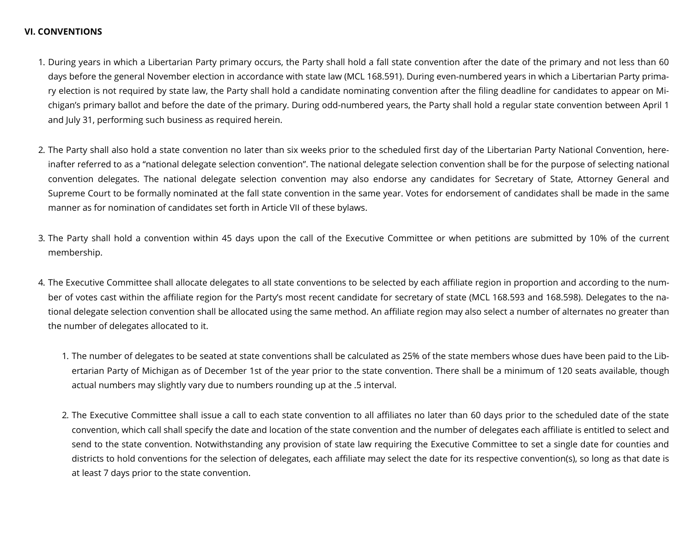## **VI. CONVENTIONS**

- 1. During years in which a Libertarian Party primary occurs, the Party shall hold a fall state convention after the date of the primary and not less than 60 days before the general November election in accordance with state law (MCL 168.591). During even-numbered years in which a Libertarian Party primary election is not required by state law, the Party shall hold a candidate nominating convention after the filing deadline for candidates to appear on Michigan's primary ballot and before the date of the primary. During odd-numbered years, the Party shall hold a regular state convention between April 1 and July 31, performing such business as required herein.
- 2. The Party shall also hold a state convention no later than six weeks prior to the scheduled first day of the Libertarian Party National Convention, hereinafter referred to as a "national delegate selection convention". The national delegate selection convention shall be for the purpose of selecting national convention delegates. The national delegate selection convention may also endorse any candidates for Secretary of State, Attorney General and Supreme Court to be formally nominated at the fall state convention in the same year. Votes for endorsement of candidates shall be made in the same manner as for nomination of candidates set forth in Article VII of these bylaws.
- 3. The Party shall hold a convention within 45 days upon the call of the Executive Committee or when petitions are submitted by 10% of the current membership.
- 4. The Executive Committee shall allocate delegates to all state conventions to be selected by each affiliate region in proportion and according to the number of votes cast within the affiliate region for the Party's most recent candidate for secretary of state (MCL 168.593 and 168.598). Delegates to the national delegate selection convention shall be allocated using the same method. An affiliate region may also select a number of alternates no greater than the number of delegates allocated to it.
	- 1. The number of delegates to be seated at state conventions shall be calculated as 25% of the state members whose dues have been paid to the Libertarian Party of Michigan as of December 1st of the year prior to the state convention. There shall be a minimum of 120 seats available, though actual numbers may slightly vary due to numbers rounding up at the .5 interval.
	- 2. The Executive Committee shall issue a call to each state convention to all affiliates no later than 60 days prior to the scheduled date of the state convention, which call shall specify the date and location of the state convention and the number of delegates each affiliate is entitled to select and send to the state convention. Notwithstanding any provision of state law requiring the Executive Committee to set a single date for counties and districts to hold conventions for the selection of delegates, each affiliate may select the date for its respective convention(s), so long as that date is at least 7 days prior to the state convention.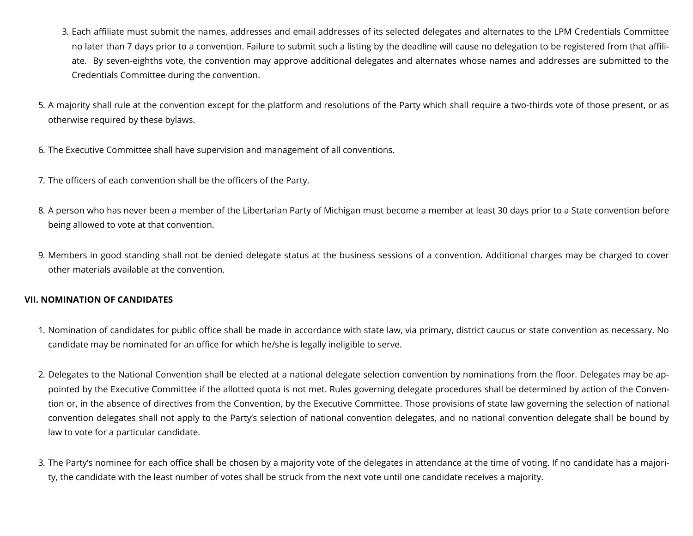- 3. Each affiliate must submit the names, addresses and email addresses of its selected delegates and alternates to the LPM Credentials Committee no later than 7 days prior to a convention. Failure to submit such a listing by the deadline will cause no delegation to be registered from that affiliate. By seven-eighths vote, the convention may approve additional delegates and alternates whose names and addresses are submitted to the Credentials Committee during the convention.
- 5. A majority shall rule at the convention except for the platform and resolutions of the Party which shall require a two-thirds vote of those present, or as otherwise required by these bylaws.
- 6. The Executive Committee shall have supervision and management of all conventions.
- 7. The officers of each convention shall be the officers of the Party.
- 8. A person who has never been a member of the Libertarian Party of Michigan must become a member at least 30 days prior to a State convention before being allowed to vote at that convention.
- 9. Members in good standing shall not be denied delegate status at the business sessions of a convention. Additional charges may be charged to cover other materials available at the convention.

# **VII. NOMINATION OF CANDIDATES**

- 1. Nomination of candidates for public office shall be made in accordance with state law, via primary, district caucus or state convention as necessary. No candidate may be nominated for an office for which he/she is legally ineligible to serve.
- 2. Delegates to the National Convention shall be elected at a national delegate selection convention by nominations from the floor. Delegates may be appointed by the Executive Committee if the allotted quota is not met. Rules governing delegate procedures shall be determined by action of the Convention or, in the absence of directives from the Convention, by the Executive Committee. Those provisions of state law governing the selection of national convention delegates shall not apply to the Party's selection of national convention delegates, and no national convention delegate shall be bound by law to vote for a particular candidate.
- 3. The Party's nominee for each office shall be chosen by a majority vote of the delegates in attendance at the time of voting. If no candidate has a majority, the candidate with the least number of votes shall be struck from the next vote until one candidate receives a majority.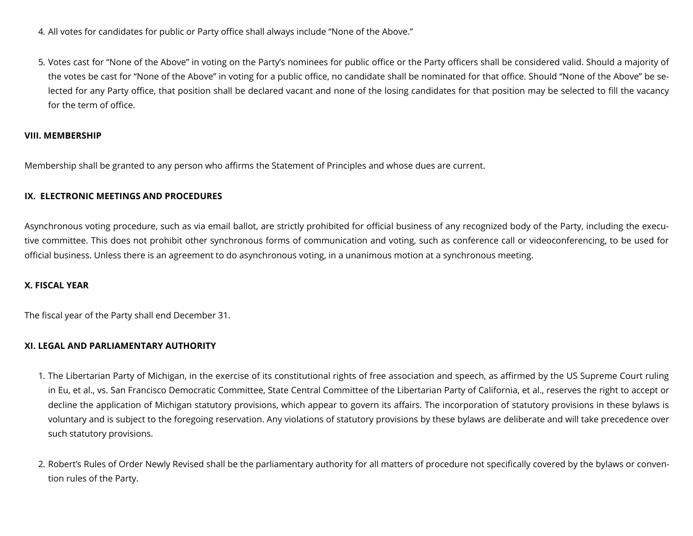- 4. All votes for candidates for public or Party office shall always include "None of the Above."
- 5. Votes cast for "None of the Above" in voting on the Party's nominees for public office or the Party officers shall be considered valid. Should a majority of the votes be cast for "None of the Above" in voting for a public office, no candidate shall be nominated for that office. Should "None of the Above" be selected for any Party office, that position shall be declared vacant and none of the losing candidates for that position may be selected to fill the vacancy for the term of office.

#### **VIII. MEMBERSHIP**

Membership shall be granted to any person who affirms the Statement of Principles and whose dues are current.

## **IX. ELECTRONIC MEETINGS AND PROCEDURES**

Asynchronous voting procedure, such as via email ballot, are strictly prohibited for official business of any recognized body of the Party, including the executive committee. This does not prohibit other synchronous forms of communication and voting, such as conference call or videoconferencing, to be used for official business. Unless there is an agreement to do asynchronous voting, in a unanimous motion at a synchronous meeting.

## **X. FISCAL YEAR**

The fiscal year of the Party shall end December 31.

#### **XI. LEGAL AND PARLIAMENTARY AUTHORITY**

- 1. The Libertarian Party of Michigan, in the exercise of its constitutional rights of free association and speech, as affirmed by the US Supreme Court ruling in Eu, et al., vs. San Francisco Democratic Committee, State Central Committee of the Libertarian Party of California, et al., reserves the right to accept or decline the application of Michigan statutory provisions, which appear to govern its affairs. The incorporation of statutory provisions in these bylaws is voluntary and is subject to the foregoing reservation. Any violations of statutory provisions by these bylaws are deliberate and will take precedence over such statutory provisions.
- 2. Robert's Rules of Order Newly Revised shall be the parliamentary authority for all matters of procedure not specifically covered by the bylaws or convention rules of the Party.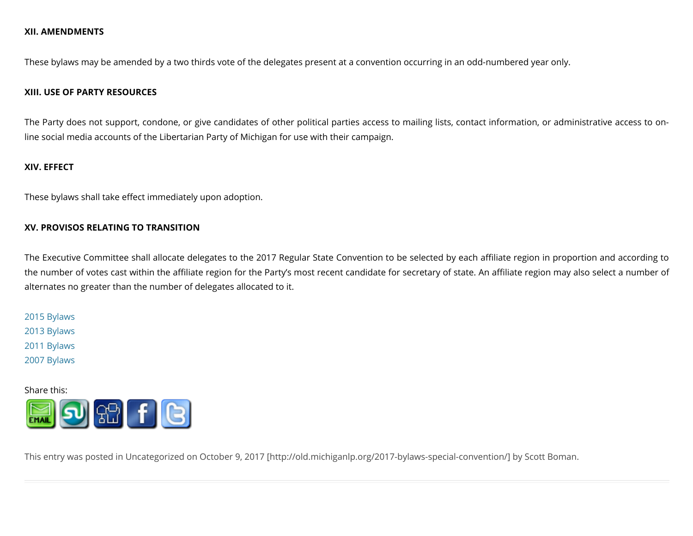## **XII. AMENDMENTS**

These bylaws may be amended by a two thirds vote of the delegates present at a convention occurring in an odd-numbered year only.

#### **XIII. USE OF PARTY RESOURCES**

The Party does not support, condone, or give candidates of other political parties access to mailing lists, contact information, or administrative access to online social media accounts of the Libertarian Party of Michigan for use with their campaign.

#### **XIV. EFFECT**

These bylaws shall take effect immediately upon adoption.

#### **XV. PROVISOS RELATING TO TRANSITION**

The Executive Committee shall allocate delegates to the 2017 Regular State Convention to be selected by each affiliate region in proportion and according to the number of votes cast within the affiliate region for the Party's most recent candidate for secretary of state. An affiliate region may also select a number of alternates no greater than the number of delegates allocated to it.

2015 [Bylaws](http://old.michiganlp.org/?page_id=4179) 2013 [Bylaws](http://old.michiganlp.org/?p=4143) 2011 [Bylaws](http://old.michiganlp.org/?p=2715) 2007 [Bylaws](http://old.michiganlp.org/?p=2717)

Share this:



This entry was posted in [Uncategorized](http://old.michiganlp.org/category/uncategorized/) on October 9, 2017 [\[http://old.michiganlp.org/2017-bylaws-special-convention/\]](http://old.michiganlp.org/2017-bylaws-special-convention/) by Scott [Boman](http://old.michiganlp.org/author/scottbow11/).